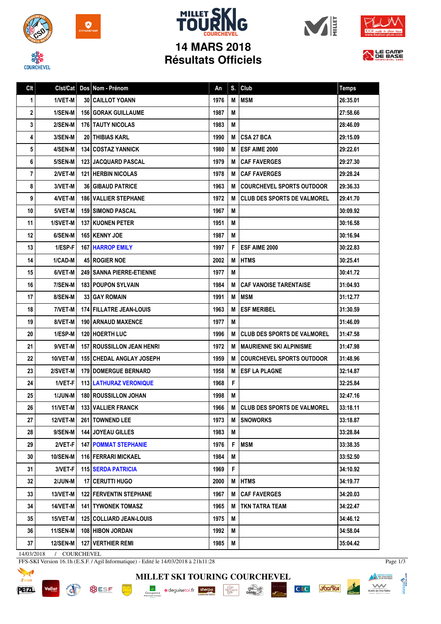

**EQUIRCHEVEL** 

 $\bullet$ 







## **Résultats Officiels**



| Clt                        | Clst/Cat        |  | Dos Nom - Prénom                   | An   | S. | Club                               | <b>Temps</b> |
|----------------------------|-----------------|--|------------------------------------|------|----|------------------------------------|--------------|
| 1                          | 1/VET-M         |  | <b>30 CAILLOT YOANN</b>            | 1976 | M  | <b>MSM</b>                         | 26:35.01     |
| 2                          | 1/SEN-M         |  | <b>156 GORAK GUILLAUME</b>         | 1987 | M  |                                    | 27:58.66     |
| 3                          | 2/SEN-M         |  | <b>176 TAUTY NICOLAS</b>           | 1983 | M  |                                    | 28:46.09     |
| 4                          | 3/SEN-M         |  | <b>20 I THIBIAS KARL</b>           | 1990 | М  | <b>CSA 27 BCA</b>                  | 29:15.09     |
| 5                          | 4/SEN-M         |  | <b>134 COSTAZ YANNICK</b>          | 1980 | M  | ESF AIME 2000                      | 29:22.61     |
| 6                          | 5/SEN-M         |  | <b>123 JACQUARD PASCAL</b>         | 1979 | M  | <b>CAF FAVERGES</b>                | 29:27.30     |
| 7                          | 2/VET-M         |  | <b>121 HERBIN NICOLAS</b>          | 1978 | M  | <b>CAF FAVERGES</b>                | 29:28.24     |
| 8                          | 3/VET-M         |  | <b>36 GIBAUD PATRICE</b>           | 1963 | M  | <b>COURCHEVEL SPORTS OUTDOOR</b>   | 29:36.33     |
| 9                          | 4/VET-M         |  | <b>186   VALLIER STEPHANE</b>      | 1972 | M  | <b>CLUB DES SPORTS DE VALMOREL</b> | 29:41.70     |
| 10                         | 5/VET-M         |  | <b>159 SIMOND PASCAL</b>           | 1967 | M  |                                    | 30:09.92     |
| 11                         | 1/SVET-M        |  | <b>137 KUONEN PETER</b>            | 1951 | M  |                                    | 30:16.58     |
| 12                         | 6/SEN-M         |  | <b>165 KENNY JOE</b>               | 1987 | M  |                                    | 30:16.94     |
| 13                         | 1/ESP-F         |  | <b>167 HARROP EMILY</b>            | 1997 | F  | <b>ESF AIME 2000</b>               | 30:22.83     |
| 14                         | 1/CAD-M         |  | <b>45 ROGIER NOE</b>               | 2002 | M  | <b>HTMS</b>                        | 30:25.41     |
| 15                         | 6/VET-M         |  | <b>249   SANNA PIERRE-ETIENNE</b>  | 1977 | M  |                                    | 30:41.72     |
| 16                         | 7/SEN-M         |  | <b>183 POUPON SYLVAIN</b>          | 1984 | М  | <b>CAF VANOISE TARENTAISE</b>      | 31:04.93     |
| 17                         | 8/SEN-M         |  | <b>33 GAY ROMAIN</b>               | 1991 | М  | <b>MSM</b>                         | 31:12.77     |
| 18                         | 7/VET-M         |  | <b>174 FILLATRE JEAN-LOUIS</b>     | 1963 | M  | <b>ESF MERIBEL</b>                 | 31:30.59     |
| 19                         | 8/VET-M         |  | <b>190   ARNAUD MAXENCE</b>        | 1977 | M  |                                    | 31:46.09     |
| 20                         | 1/ESP-M         |  | <b>120 HOERTH LUC</b>              | 1996 | М  | <b>CLUB DES SPORTS DE VALMOREL</b> | 31:47.58     |
| 21                         | 9/VET-M         |  | <b>157   ROUSSILLON JEAN HENRI</b> | 1972 | М  | <b>MAURIENNE SKI ALPINISME</b>     | 31:47.98     |
| 22                         | 10/VET-M        |  | <b>155 CHEDAL ANGLAY JOSEPH</b>    | 1959 | M  | <b>COURCHEVEL SPORTS OUTDOOR</b>   | 31:48.96     |
| 23                         | 2/SVET-M        |  | <b>179   DOMERGUE BERNARD</b>      | 1958 | M  | <b>ESF LA PLAGNE</b>               | 32:14.87     |
| 24                         | 1/VET-F         |  | <b>113 LATHURAZ VERONIQUE</b>      | 1968 | F  |                                    | 32:25.84     |
| 25                         | <b>1/JUN-M</b>  |  | <b>180 ROUSSILLON JOHAN</b>        | 1998 | M  |                                    | 32:47.16     |
| 26                         | 11/VET-M        |  | 133 VALLIER FRANCK                 | 1966 | M  | <b>CLUB DES SPORTS DE VALMOREL</b> | 33:18.11     |
| 27                         | 12/VET-M        |  | 261 TOWNEND LEE                    | 1973 | M  | <b>SNOWORKS</b>                    | 33:18.87     |
| 28                         | 9/SEN-M         |  | 144 JOYEAU GILLES                  | 1983 | M  |                                    | 33:28.84     |
| 29                         | 2/VET-F         |  | <b>147 POMMAT STEPHANIE</b>        | 1976 | F  | <b>MSM</b>                         | 33:38.35     |
| 30 <sup>2</sup>            | <b>10/SEN-M</b> |  | 116 FERRARI MICKAEL                | 1984 | M  |                                    | 33:52.50     |
| 31                         | 3/VET-F         |  | <b>115 SERDA PATRICIA</b>          | 1969 | F  |                                    | 34:10.92     |
| 32                         | 2/JUN-M         |  | 17   CERUTTI HUGO                  | 2000 | M  | <b>HTMS</b>                        | 34:19.77     |
| 33                         | 13/VET-M        |  | <b>122 FERVENTIN STEPHANE</b>      | 1967 | M  | <b>CAF FAVERGES</b>                | 34:20.03     |
| 34                         | 14/VET-M        |  | <b>141 TYWONEK TOMASZ</b>          | 1965 | M  | TKN TATRA TEAM                     | 34:22.47     |
| 35 <sup>5</sup>            | 15/VET-M        |  | 125 COLLIARD JEAN-LOUIS            | 1975 | M  |                                    | 34:46.12     |
| 36                         | <b>11/SEN-M</b> |  | 108 HIBON JORDAN                   | 1992 | M  |                                    | 34:58.04     |
| 37                         | <b>12/SEN-M</b> |  | 127 VERTHIER REMI                  | 1985 | M  |                                    | 35:04.42     |
| 14/03/2018<br>/ COURCHEVEL |                 |  |                                    |      |    |                                    |              |

FFS-SKI Version 16.1h (E.S.F. / Agil Informatique) - Edité le 14/03/2018 à 21h11:28

**BUSF** 



**Vallat** 

**PORT AND IN** 

Page 1/3

**MILLET SKI TOURING COURCHEVEL**

Groupama **a**deguisetoi.fr **sherpa**  $\begin{array}{c}\n\hline\n\text{I}_{\text{A}}\text{J}_{\text{A}}\text{BU} \\
\text{M2} \text{CAVD} \\
\text{PER} \n\end{array}$ 

 $\frac{\text{chez}}{\text{Cauchy}}$ 



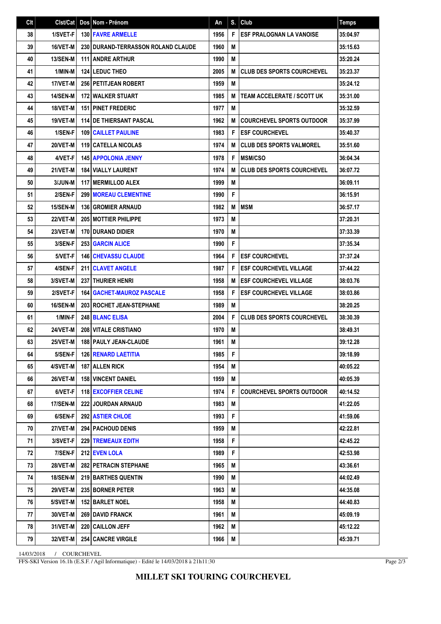| Clt | Clst/Cat        | Dos Nom - Prénom                            | An   | S. | Club                              | <b>Temps</b> |
|-----|-----------------|---------------------------------------------|------|----|-----------------------------------|--------------|
| 38  | 1/SVET-F        | <b>130 FAVRE ARMELLE</b>                    | 1956 | F  | <b>ESF PRALOGNAN LA VANOISE</b>   | 35:04.97     |
| 39  | 16/VET-M        | <b>230 I DURAND-TERRASSON ROLAND CLAUDE</b> | 1960 | M  |                                   | 35:15.63     |
| 40  | <b>13/SEN-M</b> | <b>111 ANDRE ARTHUR</b>                     | 1990 | M  |                                   | 35:20.24     |
| 41  | 1/MIN-M         | <b>124 LEDUC THEO</b>                       | 2005 | M  | <b>CLUB DES SPORTS COURCHEVEL</b> | 35:23.37     |
| 42  | 17/VET-M        | 256 PETITJEAN ROBERT                        | 1959 | M  |                                   | 35:24.12     |
| 43  | <b>14/SEN-M</b> | <b>172 WALKER STUART</b>                    | 1985 | M  | <b>TEAM ACCELERATE / SCOTT UK</b> | 35:31.00     |
| 44  | 18/VET-M        | <b>151 PINET FREDERIC</b>                   | 1977 | M  |                                   | 35:32.59     |
| 45  | 19/VET-M        | <b>114 DE THIERSANT PASCAL</b>              | 1962 | M  | <b>COURCHEVEL SPORTS OUTDOOR</b>  | 35:37.99     |
| 46  | 1/SEN-F         | <b>109 CAILLET PAULINE</b>                  | 1983 | F  | <b>ESF COURCHEVEL</b>             | 35:40.37     |
| 47  | 20/VET-M        | <b>119 CATELLA NICOLAS</b>                  | 1974 | М  | <b>CLUB DES SPORTS VALMOREL</b>   | 35:51.60     |
| 48  | 4/VET-F         | <b>145 APPOLONIA JENNY</b>                  | 1978 | F  | <b>MSM/CSO</b>                    | 36:04.34     |
| 49  | 21/VET-M        | 184 VIALLY LAURENT                          | 1974 | M  | <b>CLUB DES SPORTS COURCHEVEL</b> | 36:07.72     |
| 50  | 3/JUN-M         | <b>117 MERMILLOD ALEX</b>                   | 1999 | M  |                                   | 36:09.11     |
| 51  | 2/SEN-F         | <b>299 MOREAU CLEMENTINE</b>                | 1990 | F  |                                   | 36:15.91     |
| 52  | <b>15/SEN-M</b> | <b>136 GROMIER ARNAUD</b>                   | 1982 | M  | <b>IMSM</b>                       | 36:57.17     |
| 53  | 22/VET-M        | <b>205 MOTTIER PHILIPPE</b>                 | 1973 | M  |                                   | 37:20.31     |
| 54  | 23/VET-M        | <b>170 DURAND DIDIER</b>                    | 1970 | M  |                                   | 37:33.39     |
| 55  | 3/SEN-F         | <b>253 GARCIN ALICE</b>                     | 1990 | F  |                                   | 37:35.34     |
| 56  | 5/VET-F         | <b>146 CHEVASSU CLAUDE</b>                  | 1964 | F  | <b>ESF COURCHEVEL</b>             | 37:37.24     |
| 57  | 4/SEN-F         | 211 CLAVET ANGELE                           | 1987 | F  | <b>ESF COURCHEVEL VILLAGE</b>     | 37:44.22     |
| 58  | 3/SVET-M        | <b>237 THURIER HENRI</b>                    | 1958 | M  | <b>IESF COURCHEVEL VILLAGE</b>    | 38:03.76     |
| 59  | 2/SVET-F        | <b>164   GACHET-MAUROZ PASCALE</b>          | 1958 | F  | <b>ESF COURCHEVEL VILLAGE</b>     | 38:03.86     |
| 60  | <b>16/SEN-M</b> | 203 ROCHET JEAN-STEPHANE                    | 1989 | M  |                                   | 38:20.25     |
| 61  | 1/MIN-F         | 248 BLANC ELISA                             | 2004 | F  | <b>CLUB DES SPORTS COURCHEVEL</b> | 38:30.39     |
| 62  | 24/VET-M        | <b>208 VITALE CRISTIANO</b>                 | 1970 | M  |                                   | 38:49.31     |
| 63  | 25/VET-M        | 188 PAULY JEAN-CLAUDE                       | 1961 | M  |                                   | 39:12.28     |
| 64  | 5/SEN-F         | <b>126 RENARD LAETITIA</b>                  | 1985 | F. |                                   | 39:18.99     |
| 65  | 4/SVET-M        | 187   ALLEN RICK                            | 1954 | М  |                                   | 40:05.22     |
| 66  | <b>26/VET-M</b> | <b>158 VINCENT DANIEL</b>                   | 1959 | М  |                                   | 40:05.39     |
| 67  | 6/VET-F         | 118 EXCOFFIER CELINE                        | 1974 | F  | <b>COURCHEVEL SPORTS OUTDOOR</b>  | 40:14.52     |
| 68  | 17/SEN-M        | <b>222 JOURDAN ARNAUD</b>                   | 1983 | M  |                                   | 41:22.05     |
| 69  | 6/SEN-F         | <b>292 ASTIER CHLOE</b>                     | 1993 | F  |                                   | 41:59.06     |
| 70  | <b>27/VET-M</b> | <b>294 PACHOUD DENIS</b>                    | 1959 | М  |                                   | 42:22.81     |
| 71  | 3/SVET-F        | 229 TREMEAUX EDITH                          | 1958 | F  |                                   | 42:45.22     |
| 72  | 7/SEN-F         | 212 EVEN LOLA                               | 1989 | F  |                                   | 42:53.98     |
| 73  | <b>28/VET-M</b> | 282 PETRACIN STEPHANE                       | 1965 | M  |                                   | 43:36.61     |
| 74  | <b>18/SEN-M</b> | 219 BARTHES QUENTIN                         | 1990 | М  |                                   | 44:02.49     |
| 75  | <b>29/VET-M</b> | 235 BORNER PETER                            | 1963 | M  |                                   | 44:35.08     |
| 76  | 5/SVET-M        | 152 BARLET NOEL                             | 1958 | М  |                                   | 44:40.83     |
| 77  | 30/VET-M        | 269 DAVID FRANCK                            | 1961 | M  |                                   | 45:09.19     |
| 78  | 31/VET-M        | 220 CAILLON JEFF                            | 1962 | М  |                                   | 45:12.22     |
| 79  | 32/VET-M        | <b>254 CANCRE VIRGILE</b>                   | 1966 | M  |                                   | 45:39.71     |

14/03/2018 / COURCHEVEL

FFS-SKI Version 16.1h (E.S.F. / Agil Informatique) - Edité le 14/03/2018 à 21h11:30

Page 2/3